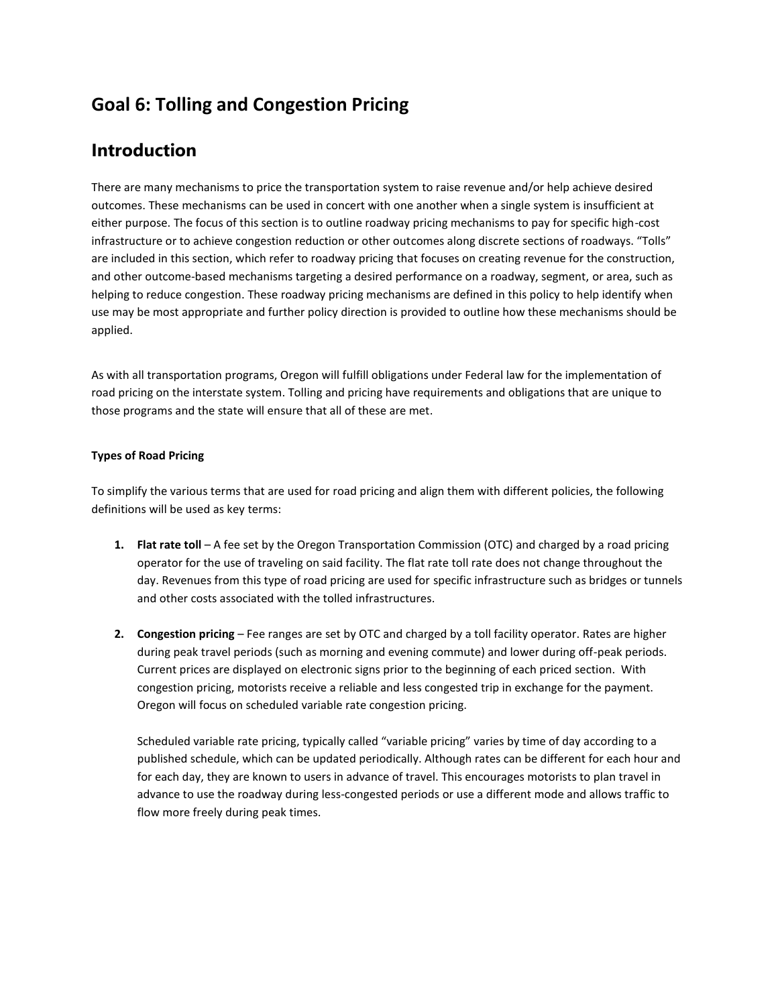# **Goal 6: Tolling and Congestion Pricing**

# **Introduction**

There are many mechanisms to price the transportation system to raise revenue and/or help achieve desired outcomes. These mechanisms can be used in concert with one another when a single system is insufficient at either purpose. The focus of this section is to outline roadway pricing mechanisms to pay for specific high-cost infrastructure or to achieve congestion reduction or other outcomes along discrete sections of roadways. "Tolls" are included in this section, which refer to roadway pricing that focuses on creating revenue for the construction, and other outcome-based mechanisms targeting a desired performance on a roadway, segment, or area, such as helping to reduce congestion. These roadway pricing mechanisms are defined in this policy to help identify when use may be most appropriate and further policy direction is provided to outline how these mechanisms should be applied.

As with all transportation programs, Oregon will fulfill obligations under Federal law for the implementation of road pricing on the interstate system. Tolling and pricing have requirements and obligations that are unique to those programs and the state will ensure that all of these are met.

# **Types of Road Pricing**

To simplify the various terms that are used for road pricing and align them with different policies, the following definitions will be used as key terms:

- **1. Flat rate toll** A fee set by the Oregon Transportation Commission (OTC) and charged by a road pricing operator for the use of traveling on said facility. The flat rate toll rate does not change throughout the day. Revenues from this type of road pricing are used for specific infrastructure such as bridges or tunnels and other costs associated with the tolled infrastructures.
- **2. Congestion pricing**  Fee ranges are set by OTC and charged by a toll facility operator. Rates are higher during peak travel periods (such as morning and evening commute) and lower during off-peak periods. Current prices are displayed on electronic signs prior to the beginning of each priced section. With congestion pricing, motorists receive a reliable and less congested trip in exchange for the payment. Oregon will focus on scheduled variable rate congestion pricing.

Scheduled variable rate pricing, typically called "variable pricing" varies by time of day according to a published schedule, which can be updated periodically. Although rates can be different for each hour and for each day, they are known to users in advance of travel. This encourages motorists to plan travel in advance to use the roadway during less-congested periods or use a different mode and allows traffic to flow more freely during peak times.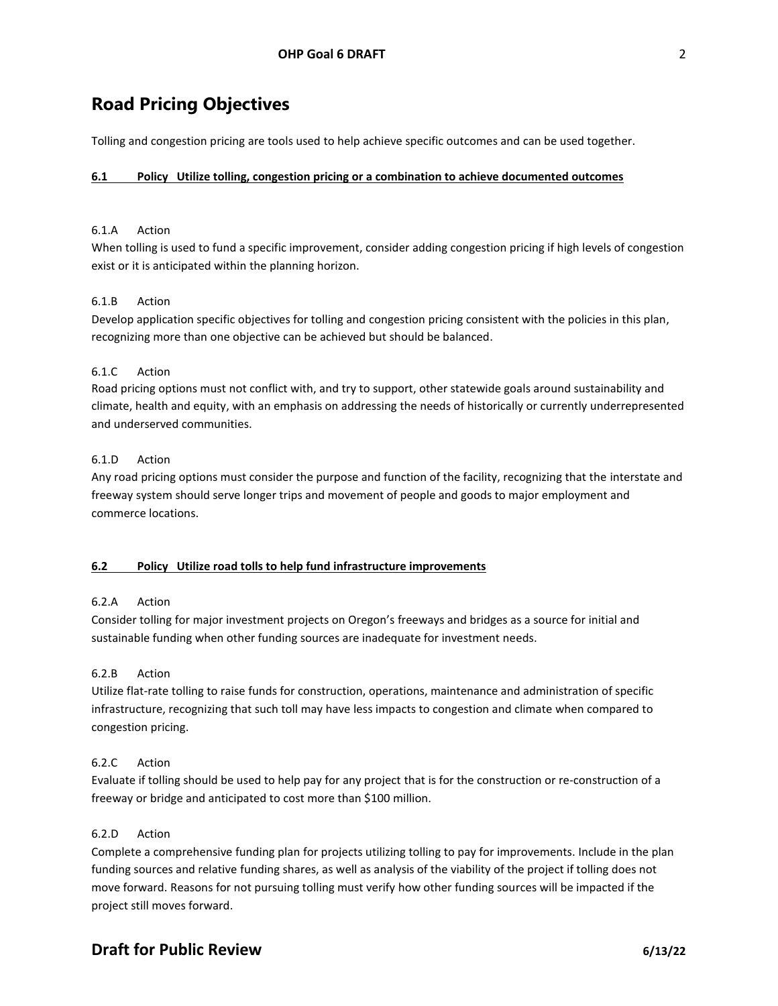# **Road Pricing Objectives**

Tolling and congestion pricing are tools used to help achieve specific outcomes and can be used together.

#### **6.1 Policy Utilize tolling, congestion pricing or a combination to achieve documented outcomes**

### 6.1.A Action

When tolling is used to fund a specific improvement, consider adding congestion pricing if high levels of congestion exist or it is anticipated within the planning horizon.

#### 6.1.B Action

Develop application specific objectives for tolling and congestion pricing consistent with the policies in this plan, recognizing more than one objective can be achieved but should be balanced.

#### 6.1.C Action

Road pricing options must not conflict with, and try to support, other statewide goals around sustainability and climate, health and equity, with an emphasis on addressing the needs of historically or currently underrepresented and underserved communities.

#### 6.1.D Action

Any road pricing options must consider the purpose and function of the facility, recognizing that the interstate and freeway system should serve longer trips and movement of people and goods to major employment and commerce locations.

#### **6.2 Policy Utilize road tolls to help fund infrastructure improvements**

# 6.2.A Action

Consider tolling for major investment projects on Oregon's freeways and bridges as a source for initial and sustainable funding when other funding sources are inadequate for investment needs.

#### 6.2.B Action

Utilize flat-rate tolling to raise funds for construction, operations, maintenance and administration of specific infrastructure, recognizing that such toll may have less impacts to congestion and climate when compared to congestion pricing.

#### 6.2.C Action

Evaluate if tolling should be used to help pay for any project that is for the construction or re-construction of a freeway or bridge and anticipated to cost more than \$100 million.

#### 6.2.D Action

Complete a comprehensive funding plan for projects utilizing tolling to pay for improvements. Include in the plan funding sources and relative funding shares, as well as analysis of the viability of the project if tolling does not move forward. Reasons for not pursuing tolling must verify how other funding sources will be impacted if the project still moves forward.

# **Draft for Public Review 6/13/22**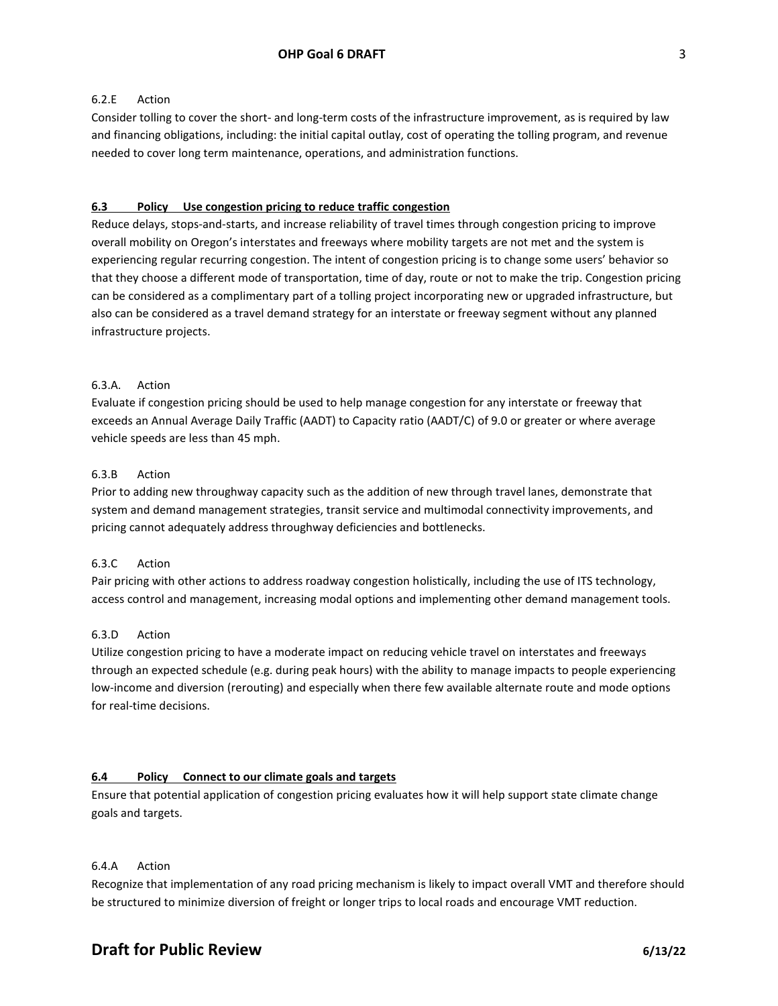#### 6.2.E Action

Consider tolling to cover the short- and long-term costs of the infrastructure improvement, as is required by law and financing obligations, including: the initial capital outlay, cost of operating the tolling program, and revenue needed to cover long term maintenance, operations, and administration functions.

#### **6.3 Policy Use congestion pricing to reduce traffic congestion**

Reduce delays, stops-and-starts, and increase reliability of travel times through congestion pricing to improve overall mobility on Oregon's interstates and freeways where mobility targets are not met and the system is experiencing regular recurring congestion. The intent of congestion pricing is to change some users' behavior so that they choose a different mode of transportation, time of day, route or not to make the trip. Congestion pricing can be considered as a complimentary part of a tolling project incorporating new or upgraded infrastructure, but also can be considered as a travel demand strategy for an interstate or freeway segment without any planned infrastructure projects.

#### 6.3.A. Action

Evaluate if congestion pricing should be used to help manage congestion for any interstate or freeway that exceeds an Annual Average Daily Traffic (AADT) to Capacity ratio (AADT/C) of 9.0 or greater or where average vehicle speeds are less than 45 mph.

#### 6.3.B Action

Prior to adding new throughway capacity such as the addition of new through travel lanes, demonstrate that system and demand management strategies, transit service and multimodal connectivity improvements, and pricing cannot adequately address throughway deficiencies and bottlenecks.

#### 6.3.C Action

Pair pricing with other actions to address roadway congestion holistically, including the use of ITS technology, access control and management, increasing modal options and implementing other demand management tools.

#### 6.3.D Action

Utilize congestion pricing to have a moderate impact on reducing vehicle travel on interstates and freeways through an expected schedule (e.g. during peak hours) with the ability to manage impacts to people experiencing low-income and diversion (rerouting) and especially when there few available alternate route and mode options for real-time decisions.

#### **6.4 Policy Connect to our climate goals and targets**

Ensure that potential application of congestion pricing evaluates how it will help support state climate change goals and targets.

### 6.4.A Action

Recognize that implementation of any road pricing mechanism is likely to impact overall VMT and therefore should be structured to minimize diversion of freight or longer trips to local roads and encourage VMT reduction.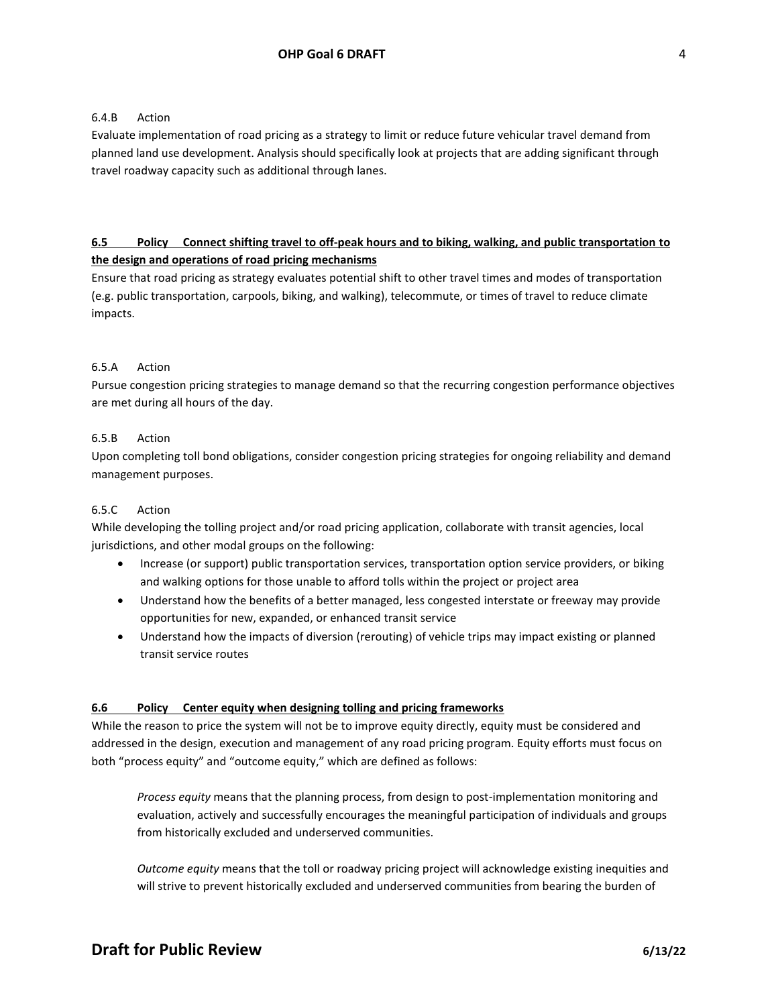#### 6.4.B Action

Evaluate implementation of road pricing as a strategy to limit or reduce future vehicular travel demand from planned land use development. Analysis should specifically look at projects that are adding significant through travel roadway capacity such as additional through lanes.

# **6.5 Policy Connect shifting travel to off-peak hours and to biking, walking, and public transportation to the design and operations of road pricing mechanisms**

Ensure that road pricing as strategy evaluates potential shift to other travel times and modes of transportation (e.g. public transportation, carpools, biking, and walking), telecommute, or times of travel to reduce climate impacts.

#### 6.5.A Action

Pursue congestion pricing strategies to manage demand so that the recurring congestion performance objectives are met during all hours of the day.

#### 6.5.B Action

Upon completing toll bond obligations, consider congestion pricing strategies for ongoing reliability and demand management purposes.

#### 6.5.C Action

While developing the tolling project and/or road pricing application, collaborate with transit agencies, local jurisdictions, and other modal groups on the following:

- Increase (or support) public transportation services, transportation option service providers, or biking and walking options for those unable to afford tolls within the project or project area
- Understand how the benefits of a better managed, less congested interstate or freeway may provide opportunities for new, expanded, or enhanced transit service
- Understand how the impacts of diversion (rerouting) of vehicle trips may impact existing or planned transit service routes

#### **6.6 Policy Center equity when designing tolling and pricing frameworks**

While the reason to price the system will not be to improve equity directly, equity must be considered and addressed in the design, execution and management of any road pricing program. Equity efforts must focus on both "process equity" and "outcome equity," which are defined as follows:

*Process equity* means that the planning process, from design to post-implementation monitoring and evaluation, actively and successfully encourages the meaningful participation of individuals and groups from historically excluded and underserved communities.

*Outcome equity* means that the toll or roadway pricing project will acknowledge existing inequities and will strive to prevent historically excluded and underserved communities from bearing the burden of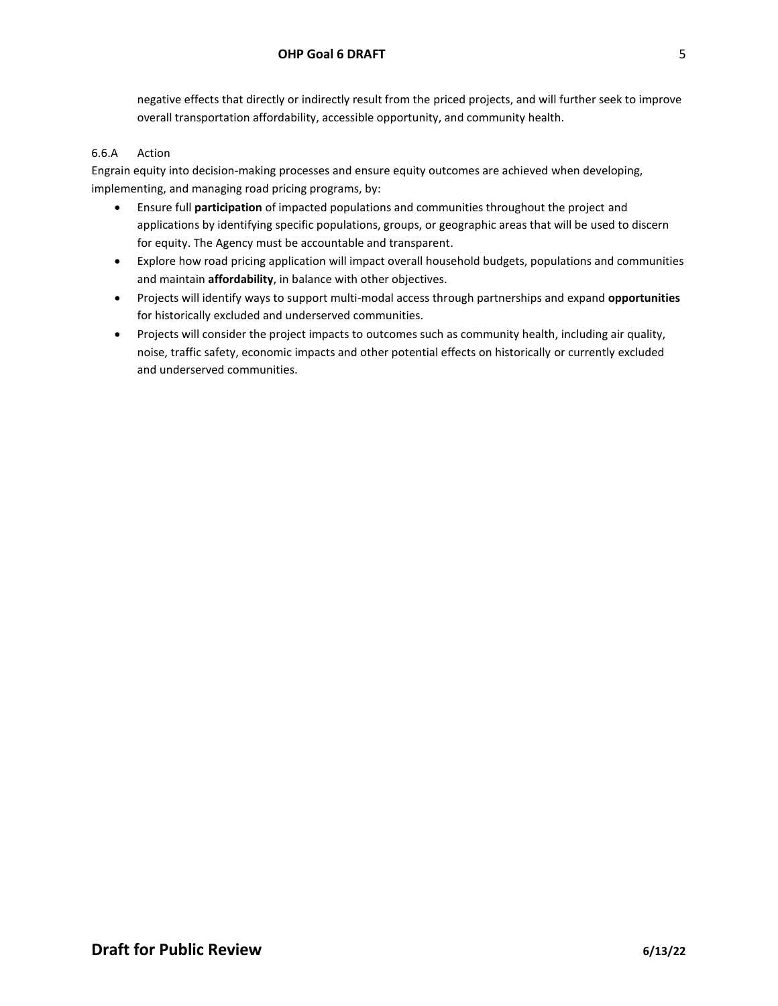negative effects that directly or indirectly result from the priced projects, and will further seek to improve overall transportation affordability, accessible opportunity, and community health.

# 6.6.A Action

Engrain equity into decision-making processes and ensure equity outcomes are achieved when developing, implementing, and managing road pricing programs, by:

- Ensure full **participation** of impacted populations and communities throughout the project and applications by identifying specific populations, groups, or geographic areas that will be used to discern for equity. The Agency must be accountable and transparent.
- Explore how road pricing application will impact overall household budgets, populations and communities and maintain **affordability**, in balance with other objectives.
- Projects will identify ways to support multi-modal access through partnerships and expand **opportunities** for historically excluded and underserved communities.
- Projects will consider the project impacts to outcomes such as community health, including air quality, noise, traffic safety, economic impacts and other potential effects on historically or currently excluded and underserved communities.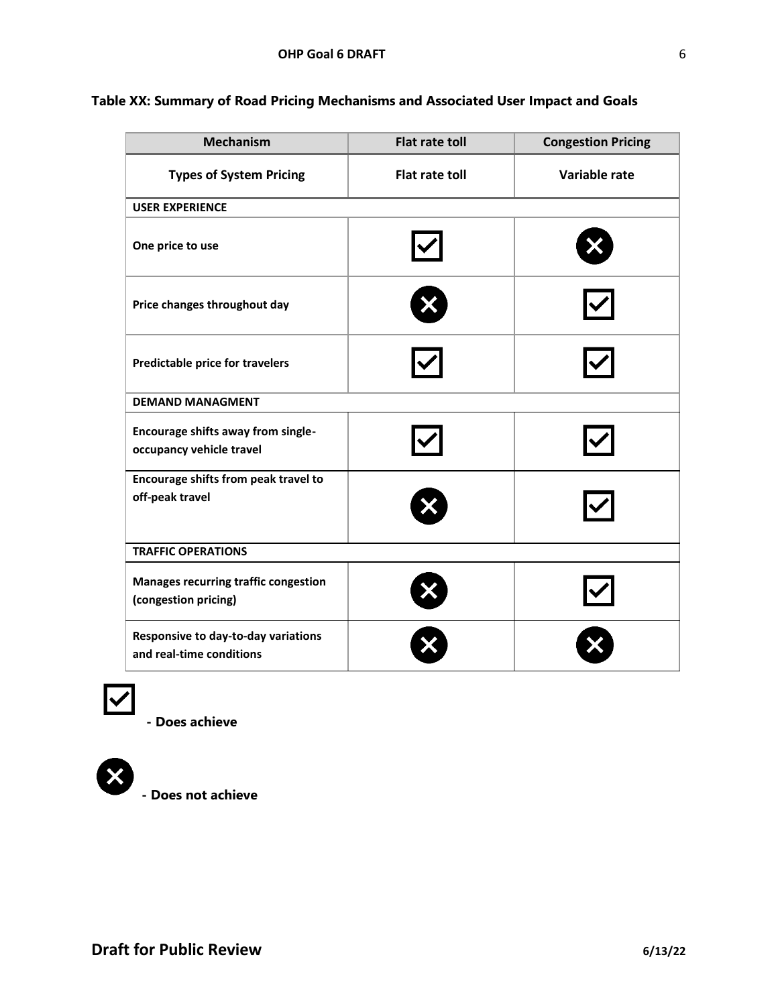| ۱ | ۰  |        |  |
|---|----|--------|--|
|   |    |        |  |
|   |    |        |  |
|   | ۰. | I<br>I |  |

| <b>Mechanism</b>                                                      | <b>Flat rate toll</b> | <b>Congestion Pricing</b> |  |  |  |
|-----------------------------------------------------------------------|-----------------------|---------------------------|--|--|--|
| <b>Types of System Pricing</b>                                        | <b>Flat rate toll</b> | Variable rate             |  |  |  |
| <b>USER EXPERIENCE</b>                                                |                       |                           |  |  |  |
| One price to use                                                      |                       |                           |  |  |  |
| Price changes throughout day                                          |                       |                           |  |  |  |
| <b>Predictable price for travelers</b>                                |                       |                           |  |  |  |
| <b>DEMAND MANAGMENT</b>                                               |                       |                           |  |  |  |
| <b>Encourage shifts away from single-</b><br>occupancy vehicle travel |                       |                           |  |  |  |
| Encourage shifts from peak travel to<br>off-peak travel               |                       |                           |  |  |  |
| <b>TRAFFIC OPERATIONS</b>                                             |                       |                           |  |  |  |
| <b>Manages recurring traffic congestion</b><br>(congestion pricing)   |                       |                           |  |  |  |
| Responsive to day-to-day variations<br>and real-time conditions       |                       |                           |  |  |  |

# **Table XX: Summary of Road Pricing Mechanisms and Associated User Impact and Goals**





**- Does not achieve**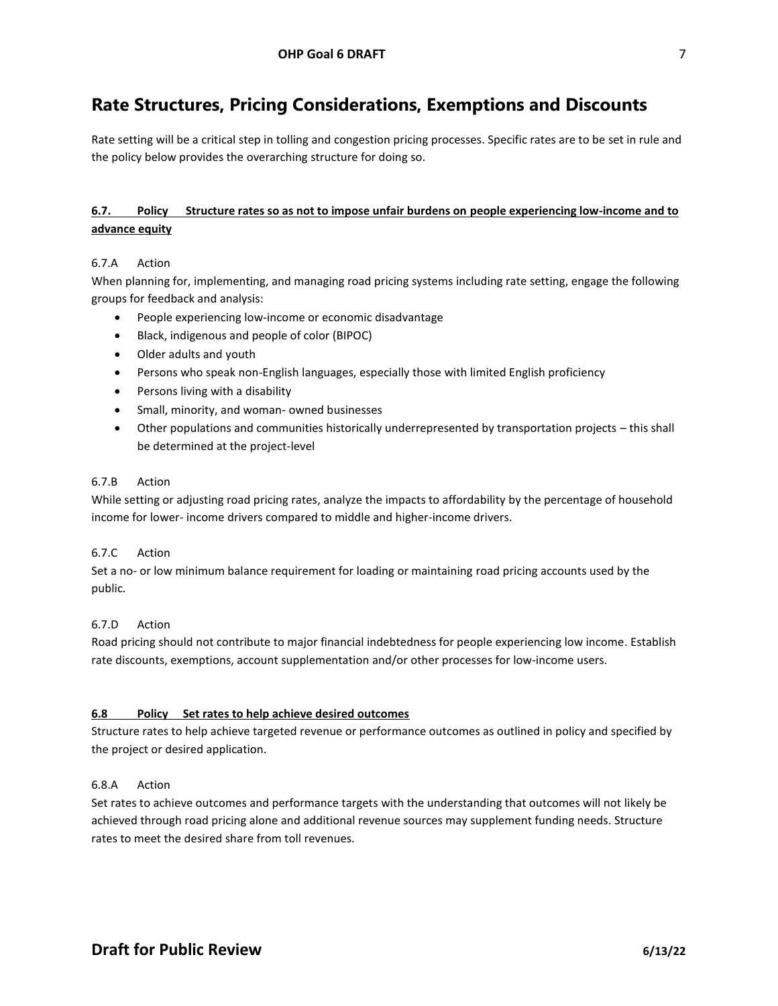# **Rate Structures, Pricing Considerations, Exemptions and Discounts**

Rate setting will be a critical step in tolling and congestion pricing processes. Specific rates are to be set in rule and the policy below provides the overarching structure for doing so.

# **6.7. Policy Structure rates so as not to impose unfair burdens on people experiencing low-income and to advance equity**

#### 6.7.A Action

When planning for, implementing, and managing road pricing systems including rate setting, engage the following groups for feedback and analysis:

- People experiencing low-income or economic disadvantage
- Black, indigenous and people of color (BIPOC)
- Older adults and youth
- Persons who speak non-English languages, especially those with limited English proficiency
- Persons living with a disability
- Small, minority, and woman- owned businesses
- Other populations and communities historically underrepresented by transportation projects this shall be determined at the project-level

#### 6.7.B Action

While setting or adjusting road pricing rates, analyze the impacts to affordability by the percentage of household income for lower- income drivers compared to middle and higher-income drivers.

#### 6.7.C Action

Set a no- or low minimum balance requirement for loading or maintaining road pricing accounts used by the public.

#### 6.7.D Action

Road pricing should not contribute to major financial indebtedness for people experiencing low income. Establish rate discounts, exemptions, account supplementation and/or other processes for low-income users.

#### **6.8 Policy Set rates to help achieve desired outcomes**

Structure rates to help achieve targeted revenue or performance outcomes as outlined in policy and specified by the project or desired application.

#### 6.8.A Action

Set rates to achieve outcomes and performance targets with the understanding that outcomes will not likely be achieved through road pricing alone and additional revenue sources may supplement funding needs. Structure rates to meet the desired share from toll revenues.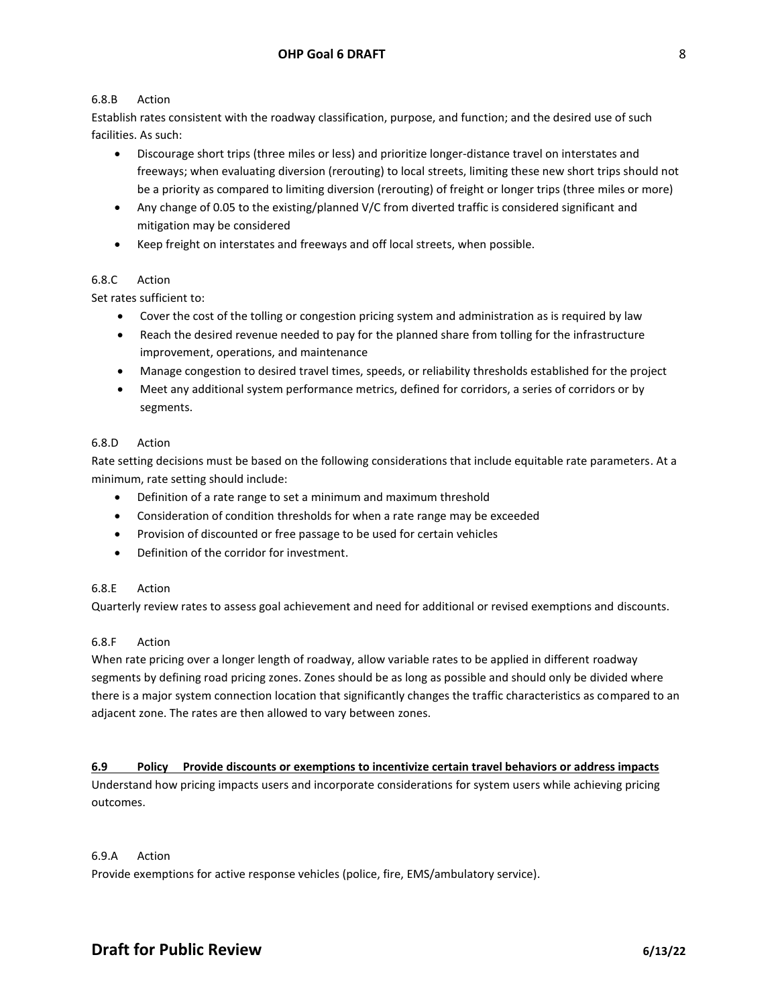#### 6.8.B Action

Establish rates consistent with the roadway classification, purpose, and function; and the desired use of such facilities. As such:

- Discourage short trips (three miles or less) and prioritize longer-distance travel on interstates and freeways; when evaluating diversion (rerouting) to local streets, limiting these new short trips should not be a priority as compared to limiting diversion (rerouting) of freight or longer trips (three miles or more)
- Any change of 0.05 to the existing/planned V/C from diverted traffic is considered significant and mitigation may be considered
- Keep freight on interstates and freeways and off local streets, when possible.

# 6.8.C Action

Set rates sufficient to:

- Cover the cost of the tolling or congestion pricing system and administration as is required by law
- Reach the desired revenue needed to pay for the planned share from tolling for the infrastructure improvement, operations, and maintenance
- Manage congestion to desired travel times, speeds, or reliability thresholds established for the project
- Meet any additional system performance metrics, defined for corridors, a series of corridors or by segments.

#### 6.8.D Action

Rate setting decisions must be based on the following considerations that include equitable rate parameters. At a minimum, rate setting should include:

- Definition of a rate range to set a minimum and maximum threshold
- Consideration of condition thresholds for when a rate range may be exceeded
- Provision of discounted or free passage to be used for certain vehicles
- Definition of the corridor for investment.

# 6.8.E Action

Quarterly review rates to assess goal achievement and need for additional or revised exemptions and discounts.

#### 6.8.F Action

When rate pricing over a longer length of roadway, allow variable rates to be applied in different roadway segments by defining road pricing zones. Zones should be as long as possible and should only be divided where there is a major system connection location that significantly changes the traffic characteristics as compared to an adjacent zone. The rates are then allowed to vary between zones.

#### **6.9 Policy Provide discounts or exemptions to incentivize certain travel behaviors or address impacts**

Understand how pricing impacts users and incorporate considerations for system users while achieving pricing outcomes.

#### 6.9.A Action

Provide exemptions for active response vehicles (police, fire, EMS/ambulatory service).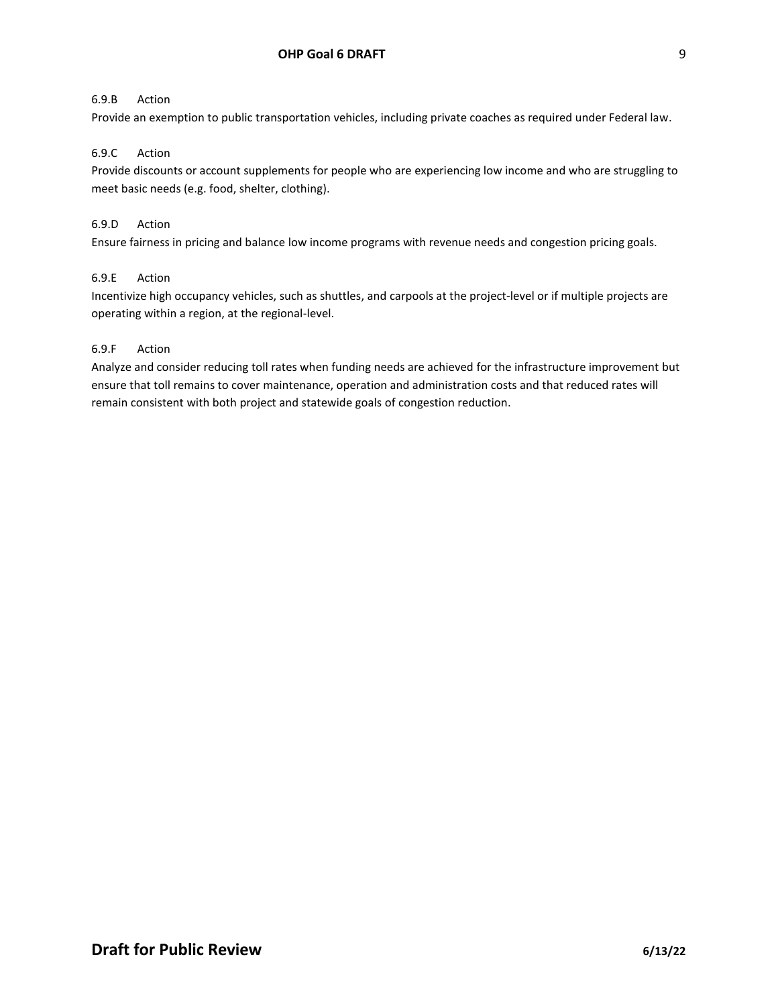#### 6.9.B Action

Provide an exemption to public transportation vehicles, including private coaches as required under Federal law.

#### 6.9.C Action

Provide discounts or account supplements for people who are experiencing low income and who are struggling to meet basic needs (e.g. food, shelter, clothing).

#### 6.9.D Action

Ensure fairness in pricing and balance low income programs with revenue needs and congestion pricing goals.

#### 6.9.E Action

Incentivize high occupancy vehicles, such as shuttles, and carpools at the project-level or if multiple projects are operating within a region, at the regional-level.

#### 6.9.F Action

Analyze and consider reducing toll rates when funding needs are achieved for the infrastructure improvement but ensure that toll remains to cover maintenance, operation and administration costs and that reduced rates will remain consistent with both project and statewide goals of congestion reduction.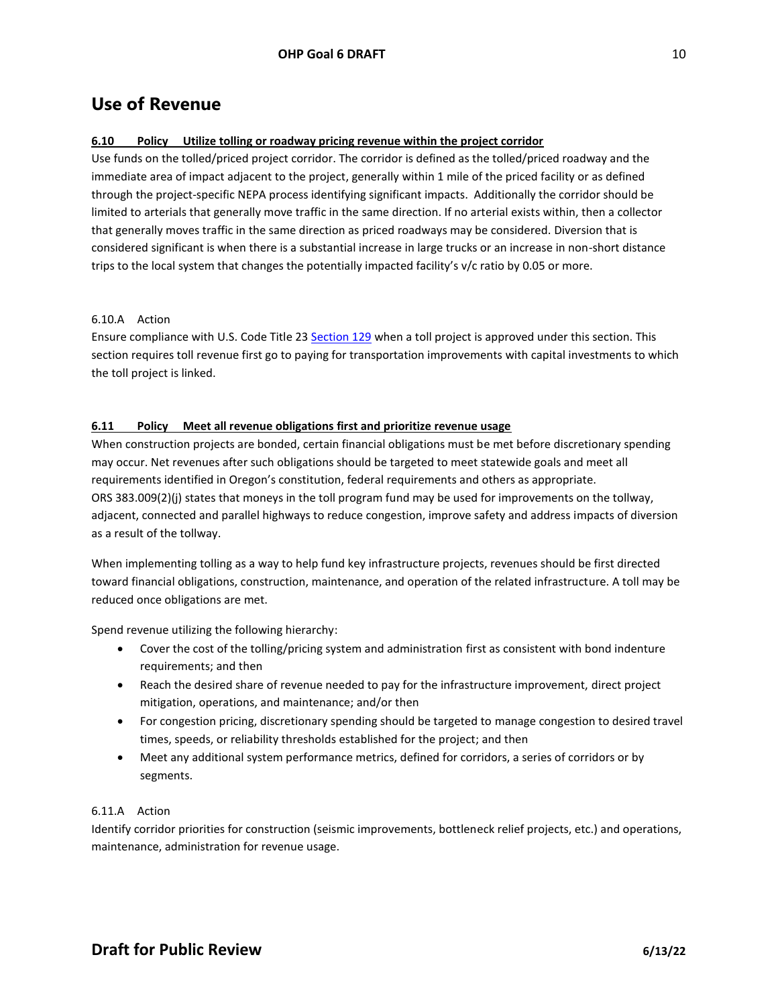# **Use of Revenue**

# **6.10 Policy Utilize tolling or roadway pricing revenue within the project corridor**

Use funds on the tolled/priced project corridor. The corridor is defined as the tolled/priced roadway and the immediate area of impact adjacent to the project, generally within 1 mile of the priced facility or as defined through the project-specific NEPA process identifying significant impacts. Additionally the corridor should be limited to arterials that generally move traffic in the same direction. If no arterial exists within, then a collector that generally moves traffic in the same direction as priced roadways may be considered. Diversion that is considered significant is when there is a substantial increase in large trucks or an increase in non-short distance trips to the local system that changes the potentially impacted facility's v/c ratio by 0.05 or more.

#### 6.10.A Action

Ensure compliance with U.S. Code Title 23 [Section 129](https://www.law.cornell.edu/uscode/text/23/129) when a toll project is approved under this section. This section requires toll revenue first go to paying for transportation improvements with capital investments to which the toll project is linked.

# **6.11 Policy Meet all revenue obligations first and prioritize revenue usage**

When construction projects are bonded, certain financial obligations must be met before discretionary spending may occur. Net revenues after such obligations should be targeted to meet statewide goals and meet all requirements identified in Oregon's constitution, federal requirements and others as appropriate. ORS 383.009(2)(j) states that moneys in the toll program fund may be used for improvements on the tollway, adjacent, connected and parallel highways to reduce congestion, improve safety and address impacts of diversion as a result of the tollway.

When implementing tolling as a way to help fund key infrastructure projects, revenues should be first directed toward financial obligations, construction, maintenance, and operation of the related infrastructure. A toll may be reduced once obligations are met.

Spend revenue utilizing the following hierarchy:

- Cover the cost of the tolling/pricing system and administration first as consistent with bond indenture requirements; and then
- Reach the desired share of revenue needed to pay for the infrastructure improvement, direct project mitigation, operations, and maintenance; and/or then
- For congestion pricing, discretionary spending should be targeted to manage congestion to desired travel times, speeds, or reliability thresholds established for the project; and then
- Meet any additional system performance metrics, defined for corridors, a series of corridors or by segments.

# 6.11.A Action

Identify corridor priorities for construction (seismic improvements, bottleneck relief projects, etc.) and operations, maintenance, administration for revenue usage.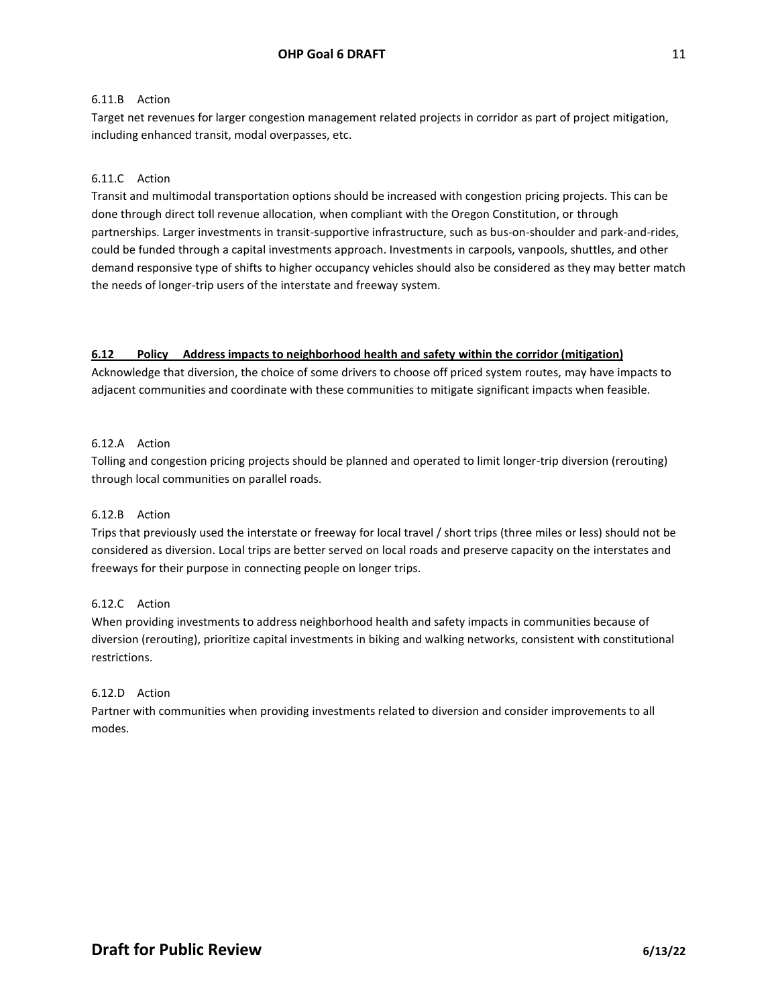#### 6.11.B Action

Target net revenues for larger congestion management related projects in corridor as part of project mitigation, including enhanced transit, modal overpasses, etc.

# 6.11.C Action

Transit and multimodal transportation options should be increased with congestion pricing projects. This can be done through direct toll revenue allocation, when compliant with the Oregon Constitution, or through partnerships. Larger investments in transit-supportive infrastructure, such as bus-on-shoulder and park-and-rides, could be funded through a capital investments approach. Investments in carpools, vanpools, shuttles, and other demand responsive type of shifts to higher occupancy vehicles should also be considered as they may better match the needs of longer-trip users of the interstate and freeway system.

#### **6.12 Policy Address impacts to neighborhood health and safety within the corridor (mitigation)**

Acknowledge that diversion, the choice of some drivers to choose off priced system routes, may have impacts to adjacent communities and coordinate with these communities to mitigate significant impacts when feasible.

#### 6.12.A Action

Tolling and congestion pricing projects should be planned and operated to limit longer-trip diversion (rerouting) through local communities on parallel roads.

#### 6.12.B Action

Trips that previously used the interstate or freeway for local travel / short trips (three miles or less) should not be considered as diversion. Local trips are better served on local roads and preserve capacity on the interstates and freeways for their purpose in connecting people on longer trips.

#### 6.12.C Action

When providing investments to address neighborhood health and safety impacts in communities because of diversion (rerouting), prioritize capital investments in biking and walking networks, consistent with constitutional restrictions.

#### 6.12.D Action

Partner with communities when providing investments related to diversion and consider improvements to all modes.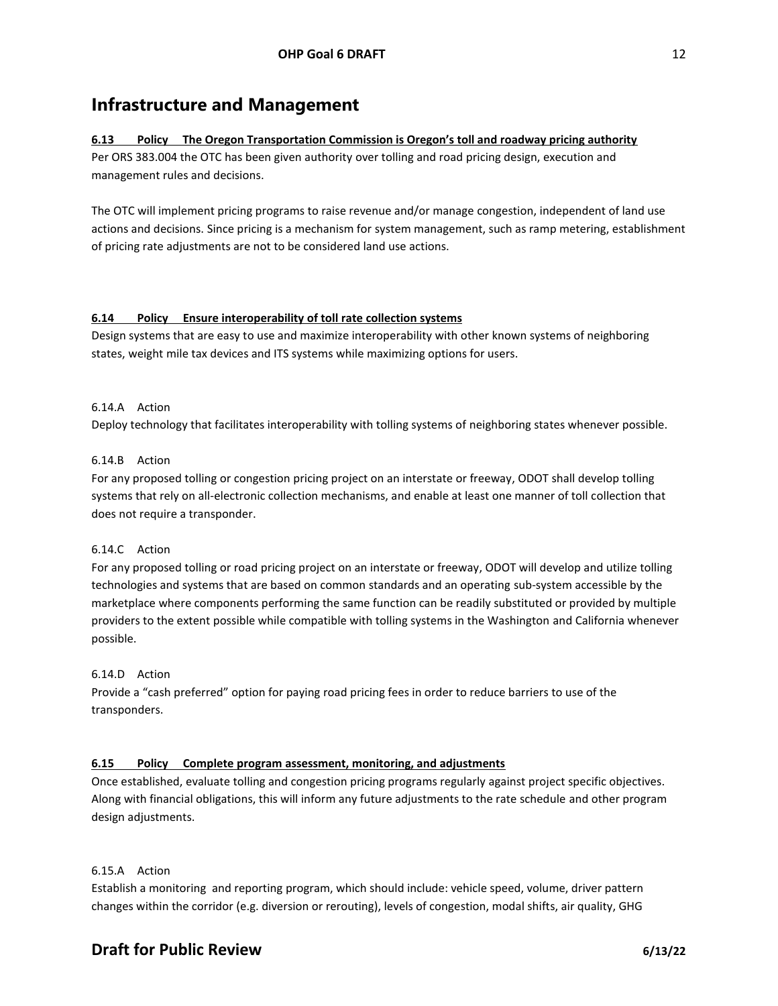# **Infrastructure and Management**

# **6.13 Policy The Oregon Transportation Commission is Oregon's toll and roadway pricing authority**

Per ORS 383.004 the OTC has been given authority over tolling and road pricing design, execution and management rules and decisions.

The OTC will implement pricing programs to raise revenue and/or manage congestion, independent of land use actions and decisions. Since pricing is a mechanism for system management, such as ramp metering, establishment of pricing rate adjustments are not to be considered land use actions.

# **6.14 Policy Ensure interoperability of toll rate collection systems**

Design systems that are easy to use and maximize interoperability with other known systems of neighboring states, weight mile tax devices and ITS systems while maximizing options for users.

#### 6.14.A Action

Deploy technology that facilitates interoperability with tolling systems of neighboring states whenever possible.

# 6.14.B Action

For any proposed tolling or congestion pricing project on an interstate or freeway, ODOT shall develop tolling systems that rely on all-electronic collection mechanisms, and enable at least one manner of toll collection that does not require a transponder.

#### 6.14.C Action

For any proposed tolling or road pricing project on an interstate or freeway, ODOT will develop and utilize tolling technologies and systems that are based on common standards and an operating sub-system accessible by the marketplace where components performing the same function can be readily substituted or provided by multiple providers to the extent possible while compatible with tolling systems in the Washington and California whenever possible.

#### 6.14.D Action

Provide a "cash preferred" option for paying road pricing fees in order to reduce barriers to use of the transponders.

#### **6.15 Policy Complete program assessment, monitoring, and adjustments**

Once established, evaluate tolling and congestion pricing programs regularly against project specific objectives. Along with financial obligations, this will inform any future adjustments to the rate schedule and other program design adjustments.

#### 6.15.A Action

Establish a monitoring and reporting program, which should include: vehicle speed, volume, driver pattern changes within the corridor (e.g. diversion or rerouting), levels of congestion, modal shifts, air quality, GHG